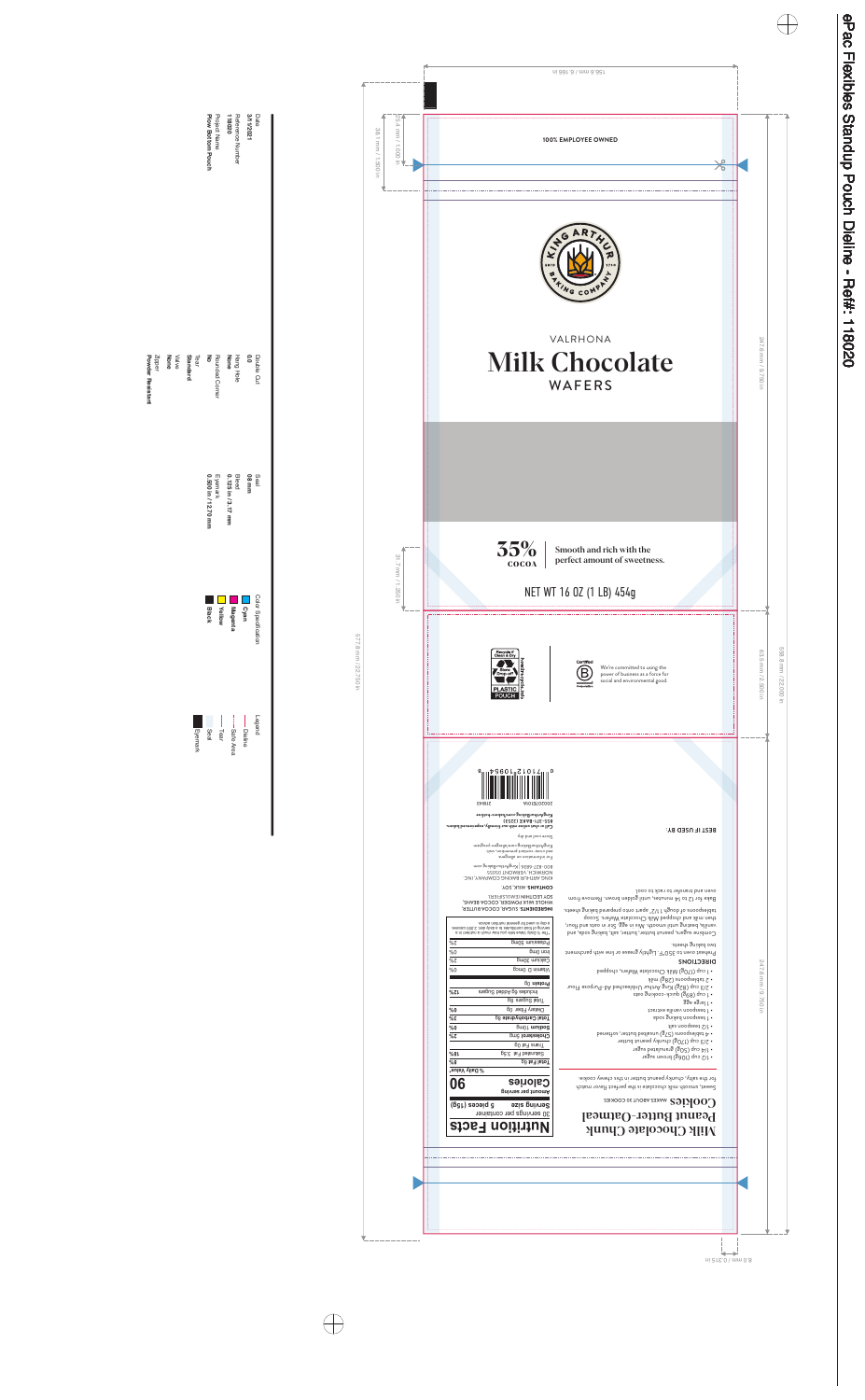



Smooth and rich with the perfect amount of sweetness.

# NET WT 16 OZ (1 LB) 454g